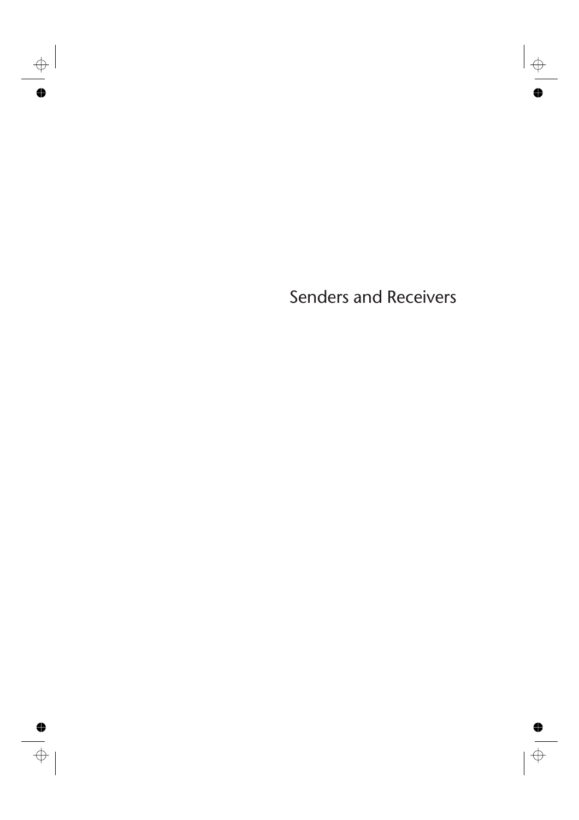



Senders and Receivers



 $\Rightarrow$ 

 $\Rightarrow$ 

 $\ddot{\bullet}$ 

 $\bullet$  $\Rightarrow$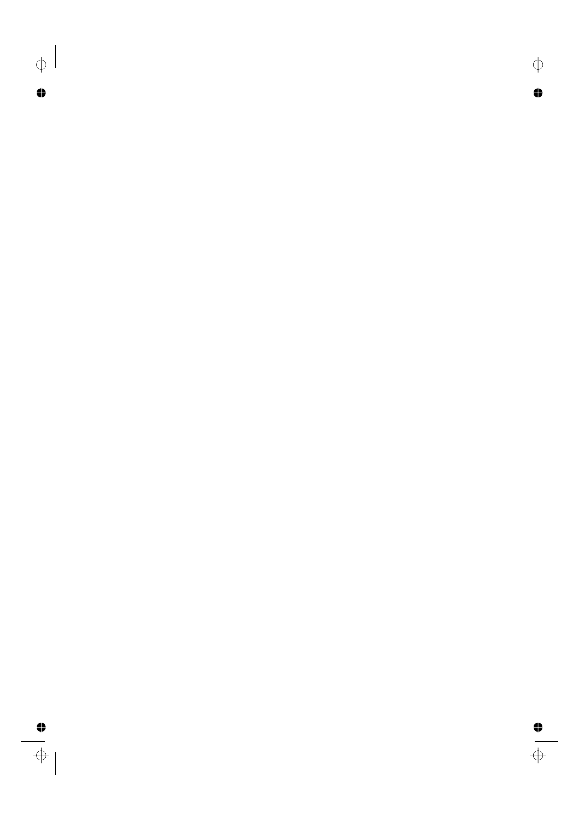$\begin{array}{c} \oplus \\ \oplus \\ \bullet \end{array}$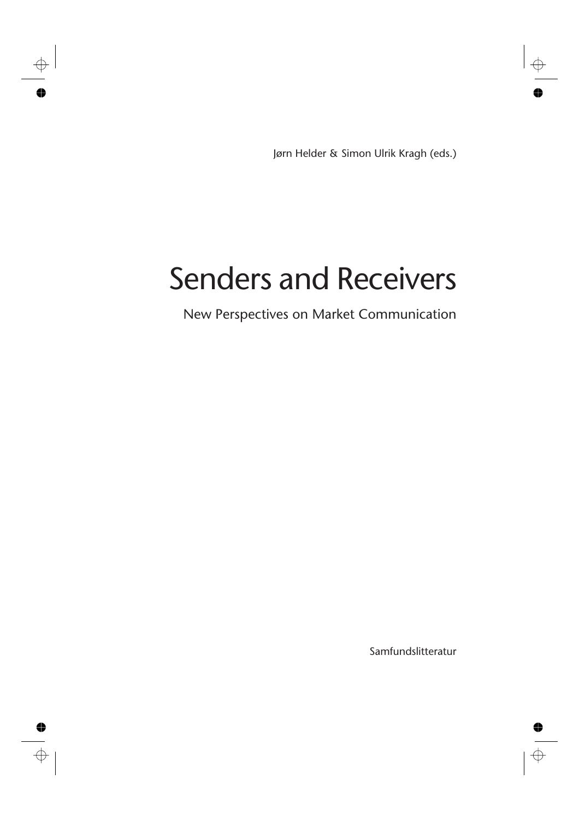Jørn Helder & Simon Ulrik Kragh (eds.)

 $\oplus$ 

⇔

 $\overline{\bigoplus}$ 

# Senders and Receivers

 $\Rightarrow$ 

 $\bullet$ 

⇔

 $\Rightarrow$ 

New Perspectives on Market Communication

Samfundslitteratur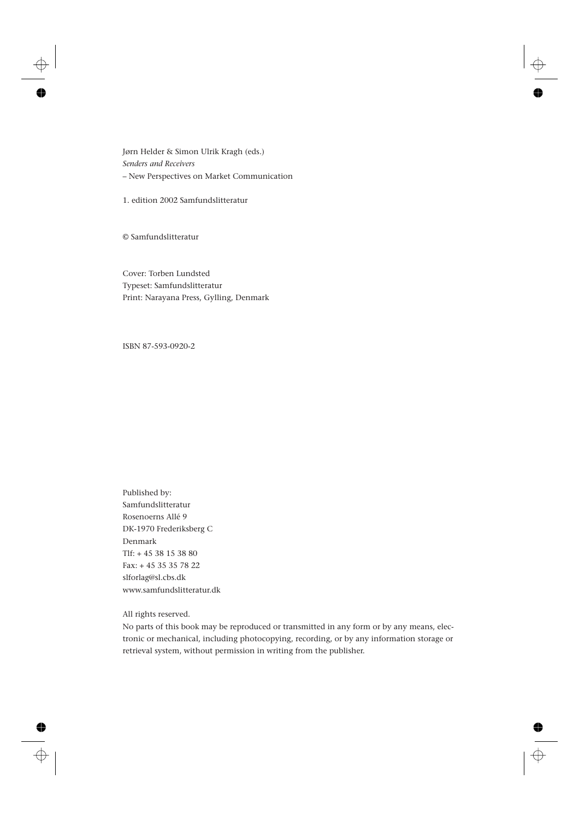Jørn Helder & Simon Ulrik Kragh (eds.) *Senders and Receivers* – New Perspectives on Market Communication  $\bigoplus$ 

 $\frac{1}{\Phi}$ 

1. edition 2002 Samfundslitteratur

© Samfundslitteratur

Cover: Torben Lundsted Typeset: Samfundslitteratur Print: Narayana Press, Gylling, Denmark

ISBN 87-593-0920-2

Published by: Samfundslitteratur Rosenoerns Allé 9 DK-1970 Frederiksberg C Denmark Tlf: + 45 38 15 38 80 Fax: + 45 35 35 78 22 slforlag@sl.cbs.dk www.samfundslitteratur.dk

All rights reserved.

No parts of this book may be reproduced or transmitted in any form or by any means, electronic or mechanical, including photocopying, recording, or by any information storage or retrieval system, without permission in writing from the publisher.

⇔

 $\overline{\bigoplus}$ 

 $\blacklozenge$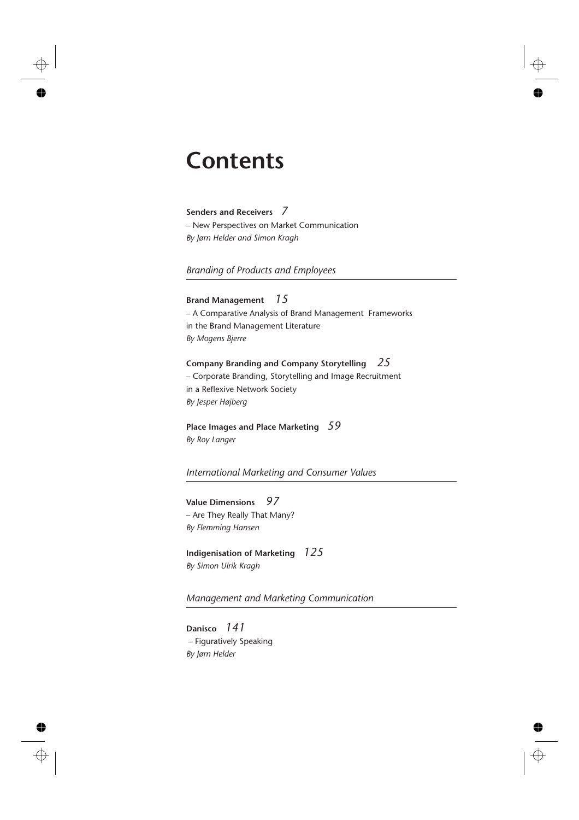## **Contents**

**Senders and Receivers** *7*

– New Perspectives on Market Communication *By Jørn Helder and Simon Kragh*

*Branding of Products and Employees*

**Brand Management** *15* – A Comparative Analysis of Brand Management Frameworks in the Brand Management Literature *By Mogens Bjerre*

 $\phi$ 

 $\frac{1}{\Phi}$ 

**Company Branding and Company Storytelling** *25* – Corporate Branding, Storytelling and Image Recruitment in a Reflexive Network Society

*By Jesper Højberg*

**Place Images and Place Marketing** *59 By Roy Langer*

*International Marketing and Consumer Values*

**Value Dimensions** *97* – Are They Really That Many? *By Flemming Hansen*

**Indigenisation of Marketing** *125 By Simon Ulrik Kragh*

*Management and Marketing Communication*

**Danisco** *141* – Figuratively Speaking *By Jørn Helder*

 $\bullet$ 

⇔

 $\overline{\bigoplus}$ 

 $\bigoplus$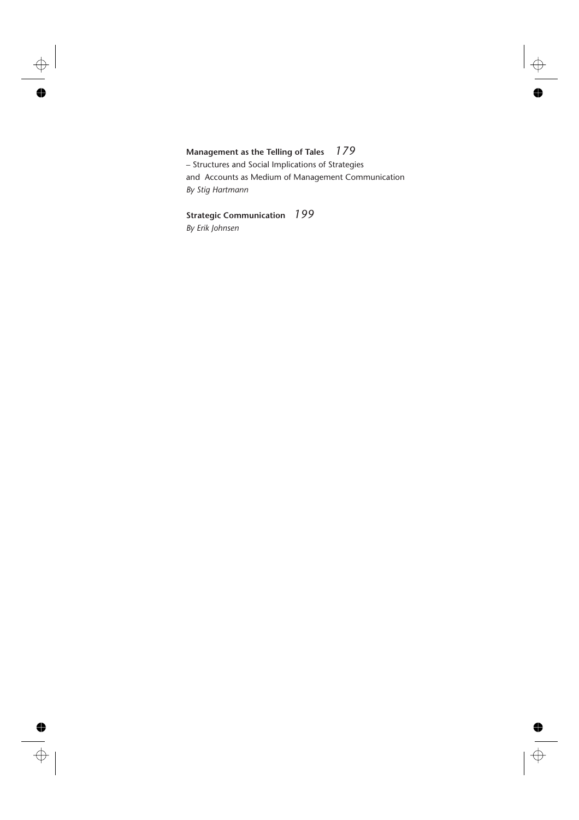## $\clubsuit$

 $\color{black} \bigoplus$ 

## **Management as the Telling of Tales** *179*

– Structures and Social Implications of Strategies and Accounts as Medium of Management Communication *By Stig Hartmann*

 $\Rightarrow$ 

⇔

 $\begin{array}{c}\n\bullet \\
\hline\n\end{array}$ 

**Strategic Communication** *199 By Erik Johnsen*

 $\bullet$ 

 $\spadesuit$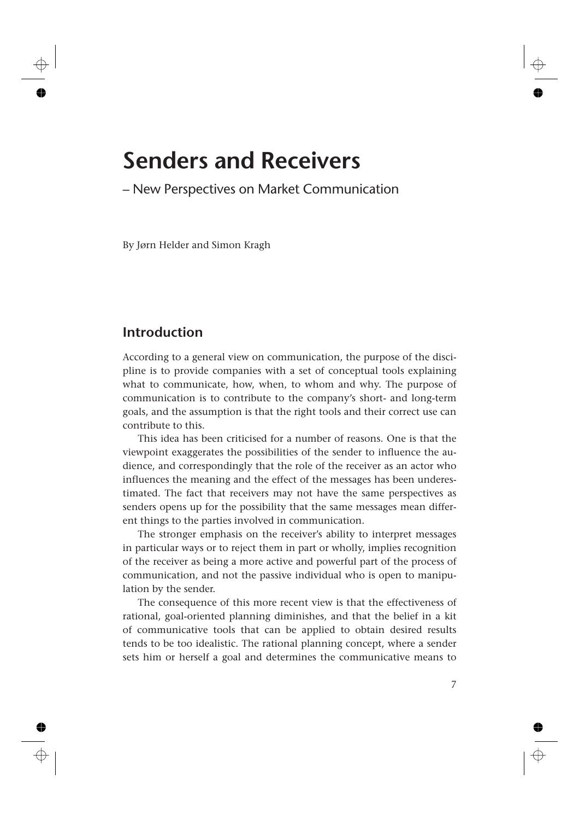## **Senders and Receivers**

– New Perspectives on Market Communication

By Jørn Helder and Simon Kragh

## **Introduction**

⇔

 $\color{red} \bigoplus$ 

According to a general view on communication, the purpose of the discipline is to provide companies with a set of conceptual tools explaining what to communicate, how, when, to whom and why. The purpose of communication is to contribute to the company's short- and long-term goals, and the assumption is that the right tools and their correct use can contribute to this.

This idea has been criticised for a number of reasons. One is that the viewpoint exaggerates the possibilities of the sender to influence the audience, and correspondingly that the role of the receiver as an actor who influences the meaning and the effect of the messages has been underestimated. The fact that receivers may not have the same perspectives as senders opens up for the possibility that the same messages mean different things to the parties involved in communication.

The stronger emphasis on the receiver's ability to interpret messages in particular ways or to reject them in part or wholly, implies recognition of the receiver as being a more active and powerful part of the process of communication, and not the passive individual who is open to manipulation by the sender.

The consequence of this more recent view is that the effectiveness of rational, goal-oriented planning diminishes, and that the belief in a kit of communicative tools that can be applied to obtain desired results tends to be too idealistic. The rational planning concept, where a sender sets him or herself a goal and determines the communicative means to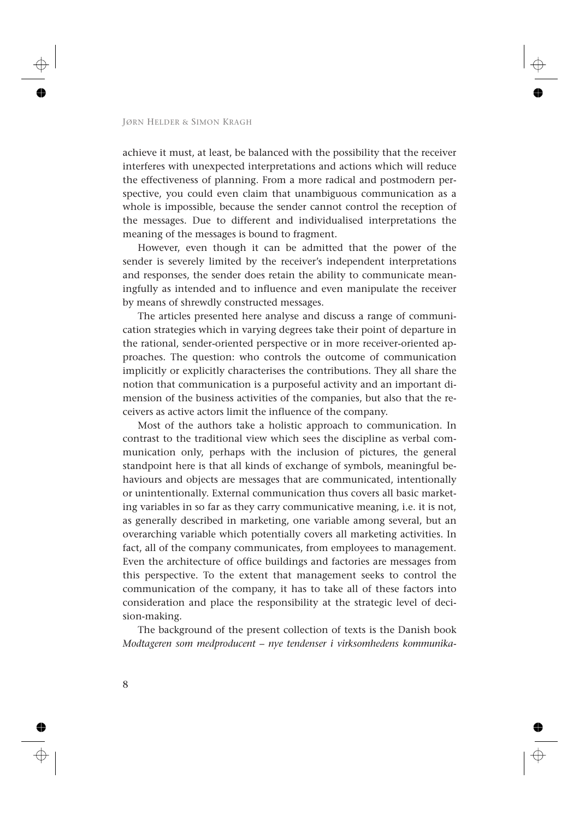#### JØRN HELDER & SIMON KRAGH

achieve it must, at least, be balanced with the possibility that the receiver interferes with unexpected interpretations and actions which will reduce the effectiveness of planning. From a more radical and postmodern perspective, you could even claim that unambiguous communication as a whole is impossible, because the sender cannot control the reception of the messages. Due to different and individualised interpretations the meaning of the messages is bound to fragment.

However, even though it can be admitted that the power of the sender is severely limited by the receiver's independent interpretations and responses, the sender does retain the ability to communicate meaningfully as intended and to influence and even manipulate the receiver by means of shrewdly constructed messages.

The articles presented here analyse and discuss a range of communication strategies which in varying degrees take their point of departure in the rational, sender-oriented perspective or in more receiver-oriented approaches. The question: who controls the outcome of communication implicitly or explicitly characterises the contributions. They all share the notion that communication is a purposeful activity and an important dimension of the business activities of the companies, but also that the receivers as active actors limit the influence of the company.

Most of the authors take a holistic approach to communication. In contrast to the traditional view which sees the discipline as verbal communication only, perhaps with the inclusion of pictures, the general standpoint here is that all kinds of exchange of symbols, meaningful behaviours and objects are messages that are communicated, intentionally or unintentionally. External communication thus covers all basic marketing variables in so far as they carry communicative meaning, i.e. it is not, as generally described in marketing, one variable among several, but an overarching variable which potentially covers all marketing activities. In fact, all of the company communicates, from employees to management. Even the architecture of office buildings and factories are messages from this perspective. To the extent that management seeks to control the communication of the company, it has to take all of these factors into consideration and place the responsibility at the strategic level of decision-making.

The background of the present collection of texts is the Danish book *Modtageren som medproducent – nye tendenser i virksomhedens kommunika-*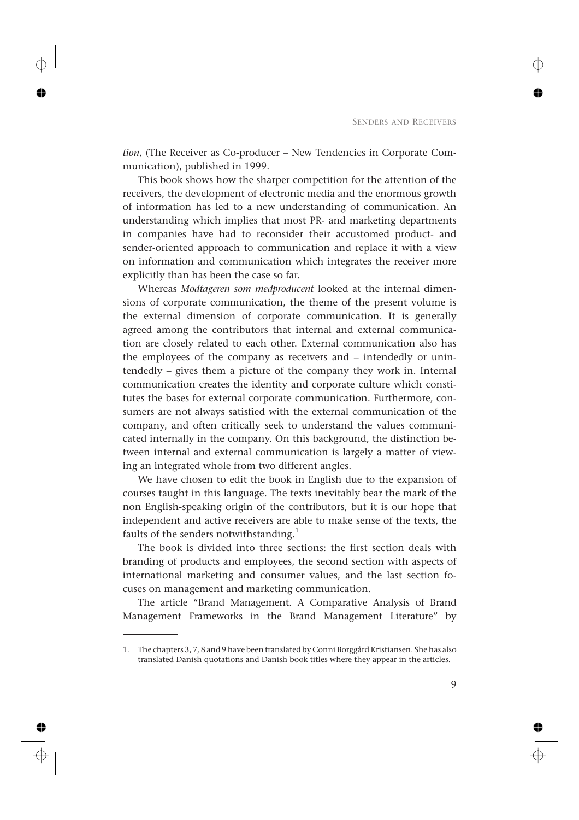*tion*, (The Receiver as Co-producer – New Tendencies in Corporate Communication), published in 1999.

This book shows how the sharper competition for the attention of the receivers, the development of electronic media and the enormous growth of information has led to a new understanding of communication. An understanding which implies that most PR- and marketing departments in companies have had to reconsider their accustomed product- and sender-oriented approach to communication and replace it with a view on information and communication which integrates the receiver more explicitly than has been the case so far.

Whereas *Modtageren som medproducent* looked at the internal dimensions of corporate communication, the theme of the present volume is the external dimension of corporate communication. It is generally agreed among the contributors that internal and external communication are closely related to each other. External communication also has the employees of the company as receivers and – intendedly or unintendedly – gives them a picture of the company they work in. Internal communication creates the identity and corporate culture which constitutes the bases for external corporate communication. Furthermore, consumers are not always satisfied with the external communication of the company, and often critically seek to understand the values communicated internally in the company. On this background, the distinction between internal and external communication is largely a matter of viewing an integrated whole from two different angles.

We have chosen to edit the book in English due to the expansion of courses taught in this language. The texts inevitably bear the mark of the non English-speaking origin of the contributors, but it is our hope that independent and active receivers are able to make sense of the texts, the faults of the senders notwithstanding.<sup>1</sup>

The book is divided into three sections: the first section deals with branding of products and employees, the second section with aspects of international marketing and consumer values, and the last section focuses on management and marketing communication.

The article "Brand Management. A Comparative Analysis of Brand Management Frameworks in the Brand Management Literature" by

<sup>1.</sup> The chapters 3, 7, 8 and 9 have been translated by Conni Borggård Kristiansen. She has also translated Danish quotations and Danish book titles where they appear in the articles.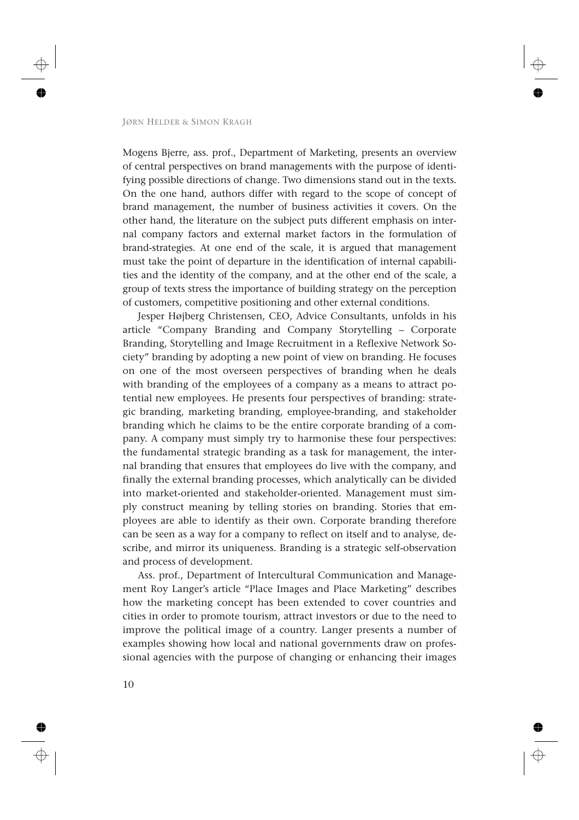#### JØRN HELDER & SIMON KRAGH

Mogens Bjerre, ass. prof., Department of Marketing, presents an overview of central perspectives on brand managements with the purpose of identifying possible directions of change. Two dimensions stand out in the texts. On the one hand, authors differ with regard to the scope of concept of brand management, the number of business activities it covers. On the other hand, the literature on the subject puts different emphasis on internal company factors and external market factors in the formulation of brand-strategies. At one end of the scale, it is argued that management must take the point of departure in the identification of internal capabilities and the identity of the company, and at the other end of the scale, a group of texts stress the importance of building strategy on the perception of customers, competitive positioning and other external conditions.

Jesper Højberg Christensen, CEO, Advice Consultants, unfolds in his article "Company Branding and Company Storytelling – Corporate Branding, Storytelling and Image Recruitment in a Reflexive Network Society" branding by adopting a new point of view on branding. He focuses on one of the most overseen perspectives of branding when he deals with branding of the employees of a company as a means to attract potential new employees. He presents four perspectives of branding: strategic branding, marketing branding, employee-branding, and stakeholder branding which he claims to be the entire corporate branding of a company. A company must simply try to harmonise these four perspectives: the fundamental strategic branding as a task for management, the internal branding that ensures that employees do live with the company, and finally the external branding processes, which analytically can be divided into market-oriented and stakeholder-oriented. Management must simply construct meaning by telling stories on branding. Stories that employees are able to identify as their own. Corporate branding therefore can be seen as a way for a company to reflect on itself and to analyse, describe, and mirror its uniqueness. Branding is a strategic self-observation and process of development.

Ass. prof., Department of Intercultural Communication and Management Roy Langer's article "Place Images and Place Marketing" describes how the marketing concept has been extended to cover countries and cities in order to promote tourism, attract investors or due to the need to improve the political image of a country. Langer presents a number of examples showing how local and national governments draw on professional agencies with the purpose of changing or enhancing their images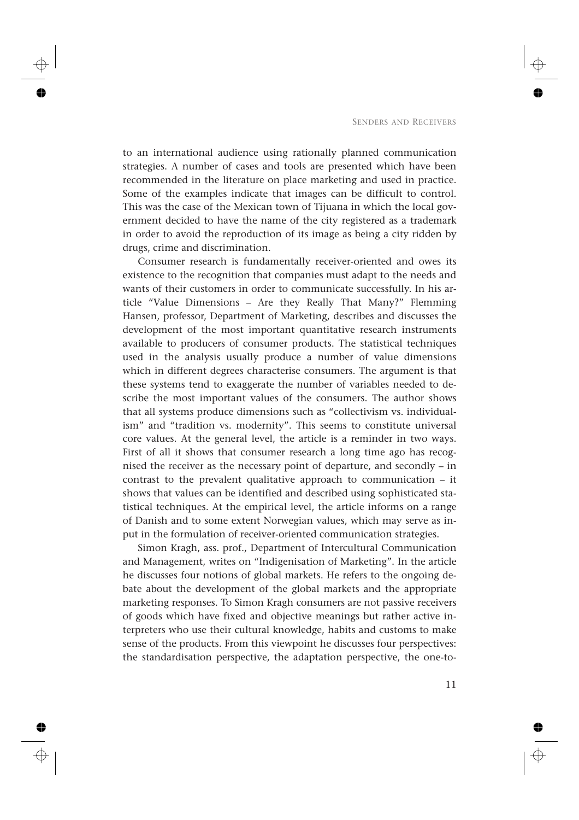#### SENDERS AND RECEIVERS

to an international audience using rationally planned communication strategies. A number of cases and tools are presented which have been recommended in the literature on place marketing and used in practice. Some of the examples indicate that images can be difficult to control. This was the case of the Mexican town of Tijuana in which the local government decided to have the name of the city registered as a trademark in order to avoid the reproduction of its image as being a city ridden by drugs, crime and discrimination.

Consumer research is fundamentally receiver-oriented and owes its existence to the recognition that companies must adapt to the needs and wants of their customers in order to communicate successfully. In his article "Value Dimensions – Are they Really That Many?" Flemming Hansen, professor, Department of Marketing, describes and discusses the development of the most important quantitative research instruments available to producers of consumer products. The statistical techniques used in the analysis usually produce a number of value dimensions which in different degrees characterise consumers. The argument is that these systems tend to exaggerate the number of variables needed to describe the most important values of the consumers. The author shows that all systems produce dimensions such as "collectivism vs. individualism" and "tradition vs. modernity". This seems to constitute universal core values. At the general level, the article is a reminder in two ways. First of all it shows that consumer research a long time ago has recognised the receiver as the necessary point of departure, and secondly – in contrast to the prevalent qualitative approach to communication – it shows that values can be identified and described using sophisticated statistical techniques. At the empirical level, the article informs on a range of Danish and to some extent Norwegian values, which may serve as input in the formulation of receiver-oriented communication strategies.

Simon Kragh, ass. prof., Department of Intercultural Communication and Management, writes on "Indigenisation of Marketing". In the article he discusses four notions of global markets. He refers to the ongoing debate about the development of the global markets and the appropriate marketing responses. To Simon Kragh consumers are not passive receivers of goods which have fixed and objective meanings but rather active interpreters who use their cultural knowledge, habits and customs to make sense of the products. From this viewpoint he discusses four perspectives: the standardisation perspective, the adaptation perspective, the one-to-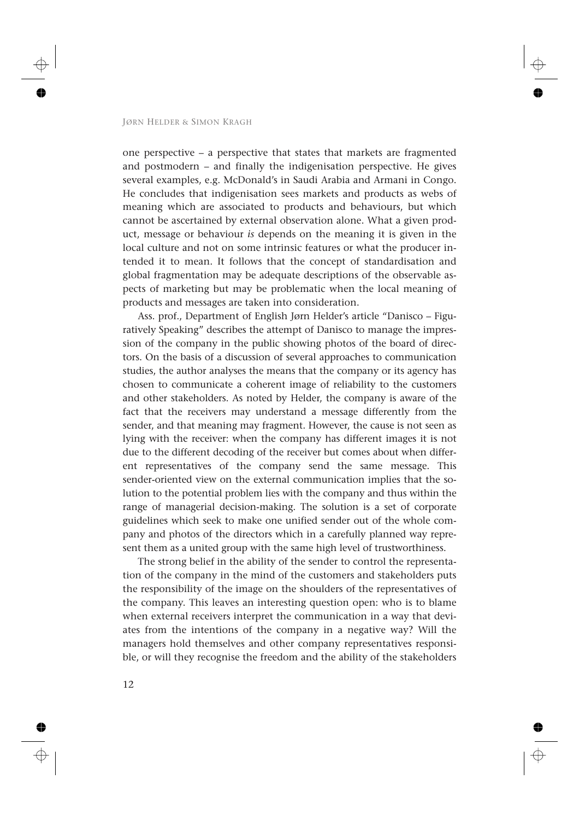#### JØRN HELDER & SIMON KRAGH

one perspective – a perspective that states that markets are fragmented and postmodern – and finally the indigenisation perspective. He gives several examples, e.g. McDonald's in Saudi Arabia and Armani in Congo. He concludes that indigenisation sees markets and products as webs of meaning which are associated to products and behaviours, but which cannot be ascertained by external observation alone. What a given product, message or behaviour *is* depends on the meaning it is given in the local culture and not on some intrinsic features or what the producer intended it to mean. It follows that the concept of standardisation and global fragmentation may be adequate descriptions of the observable aspects of marketing but may be problematic when the local meaning of products and messages are taken into consideration.

Ass. prof., Department of English Jørn Helder's article "Danisco – Figuratively Speaking" describes the attempt of Danisco to manage the impression of the company in the public showing photos of the board of directors. On the basis of a discussion of several approaches to communication studies, the author analyses the means that the company or its agency has chosen to communicate a coherent image of reliability to the customers and other stakeholders. As noted by Helder, the company is aware of the fact that the receivers may understand a message differently from the sender, and that meaning may fragment. However, the cause is not seen as lying with the receiver: when the company has different images it is not due to the different decoding of the receiver but comes about when different representatives of the company send the same message. This sender-oriented view on the external communication implies that the solution to the potential problem lies with the company and thus within the range of managerial decision-making. The solution is a set of corporate guidelines which seek to make one unified sender out of the whole company and photos of the directors which in a carefully planned way represent them as a united group with the same high level of trustworthiness.

The strong belief in the ability of the sender to control the representation of the company in the mind of the customers and stakeholders puts the responsibility of the image on the shoulders of the representatives of the company. This leaves an interesting question open: who is to blame when external receivers interpret the communication in a way that deviates from the intentions of the company in a negative way? Will the managers hold themselves and other company representatives responsible, or will they recognise the freedom and the ability of the stakeholders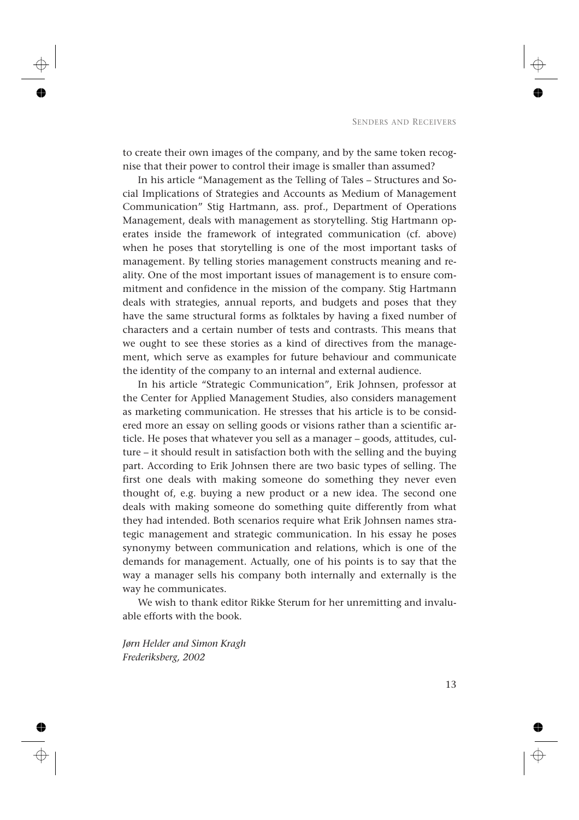#### SENDERS AND RECEIVERS

to create their own images of the company, and by the same token recognise that their power to control their image is smaller than assumed?

In his article "Management as the Telling of Tales – Structures and Social Implications of Strategies and Accounts as Medium of Management Communication" Stig Hartmann, ass. prof., Department of Operations Management, deals with management as storytelling. Stig Hartmann operates inside the framework of integrated communication (cf. above) when he poses that storytelling is one of the most important tasks of management. By telling stories management constructs meaning and reality. One of the most important issues of management is to ensure commitment and confidence in the mission of the company. Stig Hartmann deals with strategies, annual reports, and budgets and poses that they have the same structural forms as folktales by having a fixed number of characters and a certain number of tests and contrasts. This means that we ought to see these stories as a kind of directives from the management, which serve as examples for future behaviour and communicate the identity of the company to an internal and external audience.

In his article "Strategic Communication", Erik Johnsen, professor at the Center for Applied Management Studies, also considers management as marketing communication. He stresses that his article is to be considered more an essay on selling goods or visions rather than a scientific article. He poses that whatever you sell as a manager – goods, attitudes, culture – it should result in satisfaction both with the selling and the buying part. According to Erik Johnsen there are two basic types of selling. The first one deals with making someone do something they never even thought of, e.g. buying a new product or a new idea. The second one deals with making someone do something quite differently from what they had intended. Both scenarios require what Erik Johnsen names strategic management and strategic communication. In his essay he poses synonymy between communication and relations, which is one of the demands for management. Actually, one of his points is to say that the way a manager sells his company both internally and externally is the way he communicates.

We wish to thank editor Rikke Sterum for her unremitting and invaluable efforts with the book.

*Jørn Helder and Simon Kragh Frederiksberg, 2002*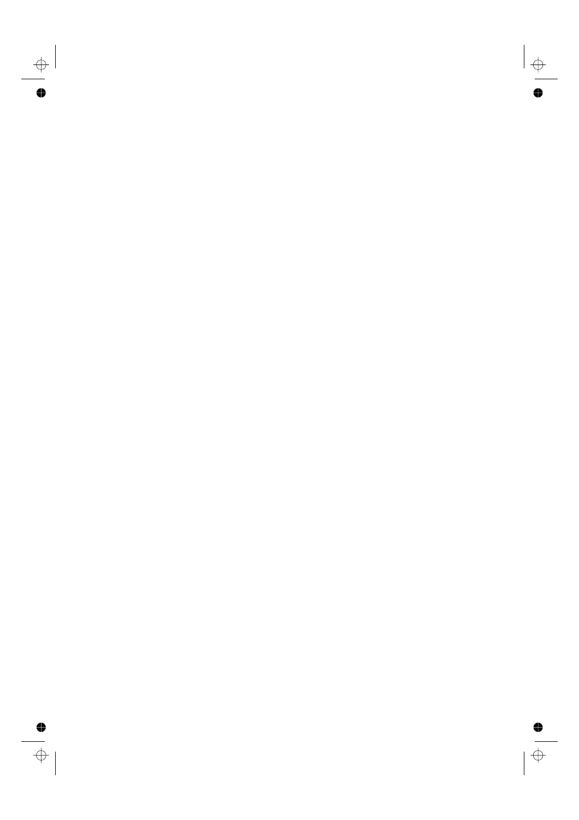$\begin{array}{c} \oplus \\ \oplus \\ \bullet \end{array}$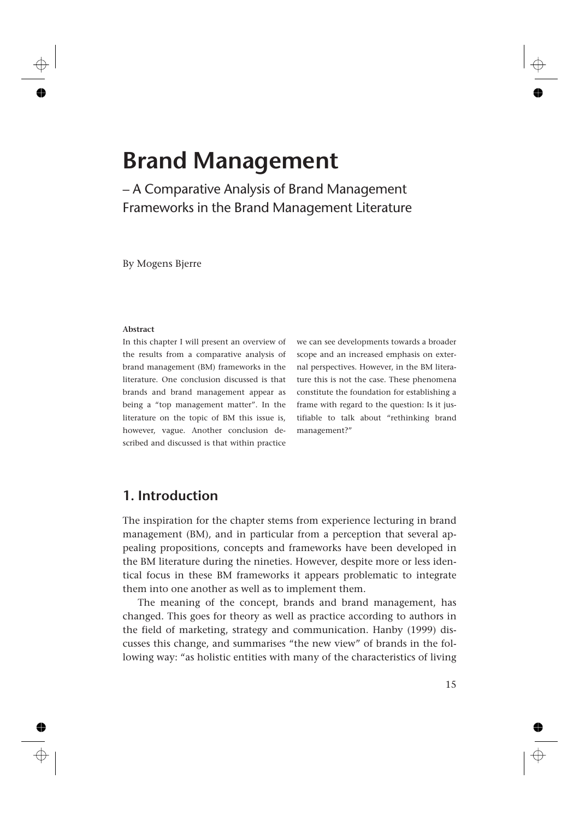## **Brand Management**

– A Comparative Analysis of Brand Management Frameworks in the Brand Management Literature

By Mogens Bjerre

#### **Abstract**

In this chapter I will present an overview of the results from a comparative analysis of brand management (BM) frameworks in the literature. One conclusion discussed is that brands and brand management appear as being a "top management matter". In the literature on the topic of BM this issue is, however, vague. Another conclusion described and discussed is that within practice

we can see developments towards a broader scope and an increased emphasis on external perspectives. However, in the BM literature this is not the case. These phenomena constitute the foundation for establishing a frame with regard to the question: Is it justifiable to talk about "rethinking brand management?"

## **1. Introduction**

The inspiration for the chapter stems from experience lecturing in brand management (BM), and in particular from a perception that several appealing propositions, concepts and frameworks have been developed in the BM literature during the nineties. However, despite more or less identical focus in these BM frameworks it appears problematic to integrate them into one another as well as to implement them.

The meaning of the concept, brands and brand management, has changed. This goes for theory as well as practice according to authors in the field of marketing, strategy and communication. Hanby (1999) discusses this change, and summarises "the new view" of brands in the following way: "as holistic entities with many of the characteristics of living

⇔

 $\overline{\bigoplus}$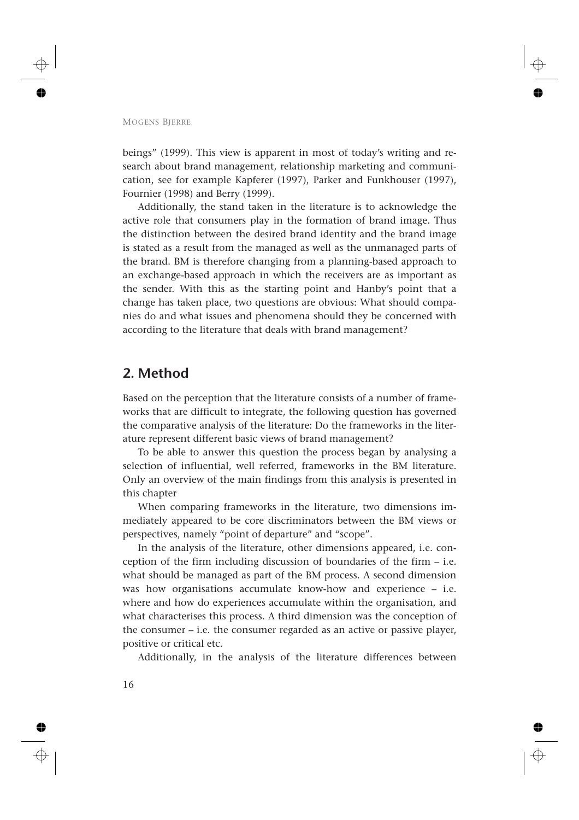beings" (1999). This view is apparent in most of today's writing and research about brand management, relationship marketing and communication, see for example Kapferer (1997), Parker and Funkhouser (1997), Fournier (1998) and Berry (1999).

Additionally, the stand taken in the literature is to acknowledge the active role that consumers play in the formation of brand image. Thus the distinction between the desired brand identity and the brand image is stated as a result from the managed as well as the unmanaged parts of the brand. BM is therefore changing from a planning-based approach to an exchange-based approach in which the receivers are as important as the sender. With this as the starting point and Hanby's point that a change has taken place, two questions are obvious: What should companies do and what issues and phenomena should they be concerned with according to the literature that deals with brand management?

## **2. Method**

Based on the perception that the literature consists of a number of frameworks that are difficult to integrate, the following question has governed the comparative analysis of the literature: Do the frameworks in the literature represent different basic views of brand management?

To be able to answer this question the process began by analysing a selection of influential, well referred, frameworks in the BM literature. Only an overview of the main findings from this analysis is presented in this chapter

When comparing frameworks in the literature, two dimensions immediately appeared to be core discriminators between the BM views or perspectives, namely "point of departure" and "scope".

In the analysis of the literature, other dimensions appeared, i.e. conception of the firm including discussion of boundaries of the firm – i.e. what should be managed as part of the BM process. A second dimension was how organisations accumulate know-how and experience – i.e. where and how do experiences accumulate within the organisation, and what characterises this process. A third dimension was the conception of the consumer – i.e. the consumer regarded as an active or passive player, positive or critical etc.

Additionally, in the analysis of the literature differences between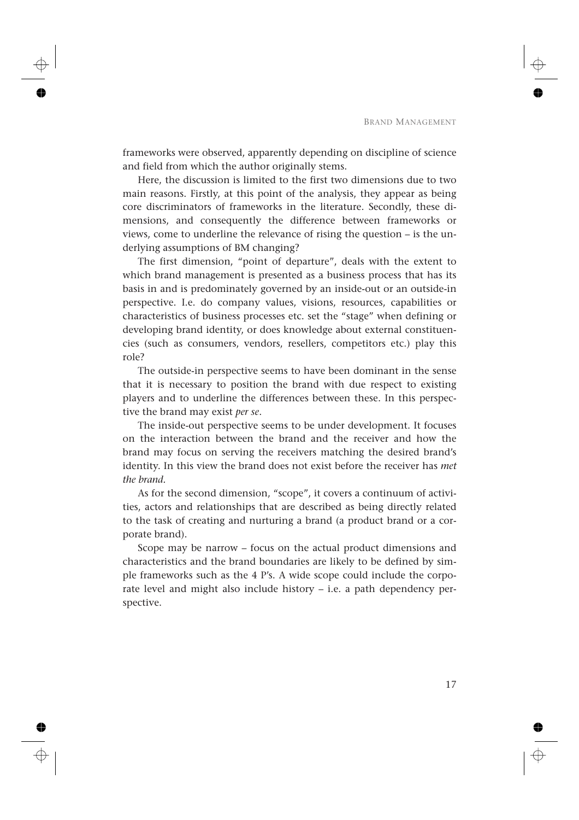frameworks were observed, apparently depending on discipline of science and field from which the author originally stems.

Here, the discussion is limited to the first two dimensions due to two main reasons. Firstly, at this point of the analysis, they appear as being core discriminators of frameworks in the literature. Secondly, these dimensions, and consequently the difference between frameworks or views, come to underline the relevance of rising the question – is the underlying assumptions of BM changing?

The first dimension, "point of departure", deals with the extent to which brand management is presented as a business process that has its basis in and is predominately governed by an inside-out or an outside-in perspective. I.e. do company values, visions, resources, capabilities or characteristics of business processes etc. set the "stage" when defining or developing brand identity, or does knowledge about external constituencies (such as consumers, vendors, resellers, competitors etc.) play this role?

The outside-in perspective seems to have been dominant in the sense that it is necessary to position the brand with due respect to existing players and to underline the differences between these. In this perspective the brand may exist *per se*.

The inside-out perspective seems to be under development. It focuses on the interaction between the brand and the receiver and how the brand may focus on serving the receivers matching the desired brand's identity. In this view the brand does not exist before the receiver has *met the brand.*

As for the second dimension, "scope", it covers a continuum of activities, actors and relationships that are described as being directly related to the task of creating and nurturing a brand (a product brand or a corporate brand).

Scope may be narrow – focus on the actual product dimensions and characteristics and the brand boundaries are likely to be defined by simple frameworks such as the 4 P's. A wide scope could include the corporate level and might also include history – i.e. a path dependency perspective.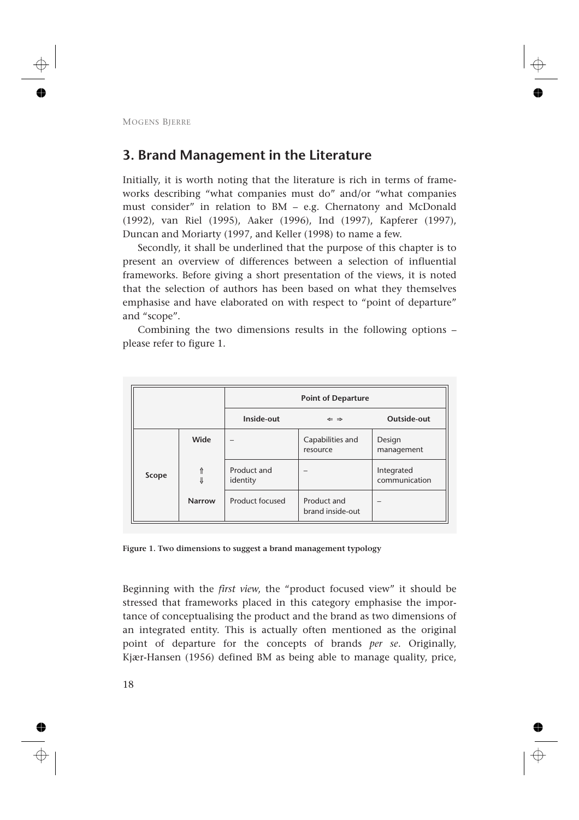### **3. Brand Management in the Literature**

Initially, it is worth noting that the literature is rich in terms of frameworks describing "what companies must do" and/or "what companies must consider" in relation to BM – e.g. Chernatony and McDonald (1992), van Riel (1995), Aaker (1996), Ind (1997), Kapferer (1997), Duncan and Moriarty (1997, and Keller (1998) to name a few.

Secondly, it shall be underlined that the purpose of this chapter is to present an overview of differences between a selection of influential frameworks. Before giving a short presentation of the views, it is noted that the selection of authors has been based on what they themselves emphasise and have elaborated on with respect to "point of departure" and "scope".

Combining the two dimensions results in the following options – please refer to figure 1.

|       |               | <b>Point of Departure</b> |                                 |                             |
|-------|---------------|---------------------------|---------------------------------|-----------------------------|
|       |               | Inside-out                | $\Leftrightarrow$ $\Rightarrow$ | Outside-out                 |
|       | Wide          |                           | Capabilities and<br>resource    | Design<br>management        |
| Scope | ⇑<br>⇓        | Product and<br>identity   |                                 | Integrated<br>communication |
|       | <b>Narrow</b> | Product focused           | Product and<br>brand inside-out |                             |

**Figure 1. Two dimensions to suggest a brand management typology**

Beginning with the *first view*, the "product focused view" it should be stressed that frameworks placed in this category emphasise the importance of conceptualising the product and the brand as two dimensions of an integrated entity. This is actually often mentioned as the original point of departure for the concepts of brands *per se*. Originally, Kjær-Hansen (1956) defined BM as being able to manage quality, price,

⇔

 $\color{red} \color{black} \oplus$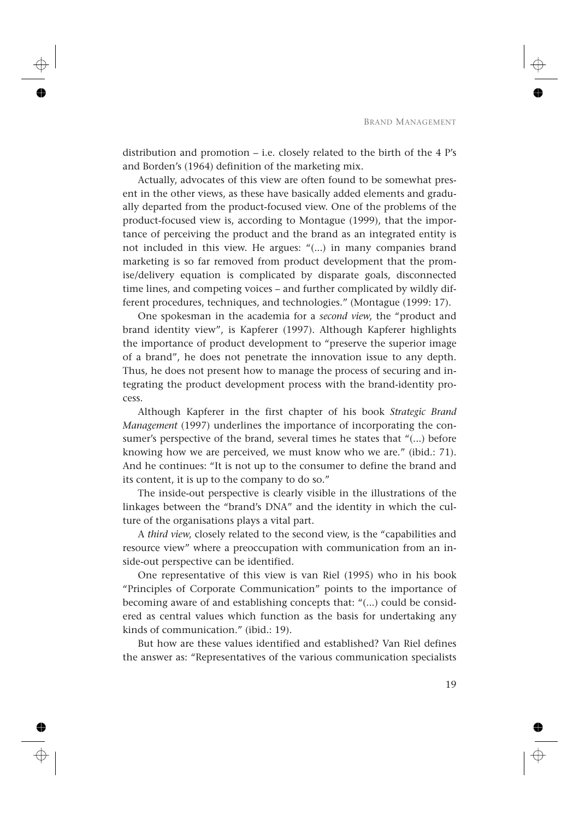distribution and promotion – i.e. closely related to the birth of the 4 P's and Borden's (1964) definition of the marketing mix.

Actually, advocates of this view are often found to be somewhat present in the other views, as these have basically added elements and gradually departed from the product-focused view. One of the problems of the product-focused view is, according to Montague (1999), that the importance of perceiving the product and the brand as an integrated entity is not included in this view. He argues: "(...) in many companies brand marketing is so far removed from product development that the promise/delivery equation is complicated by disparate goals, disconnected time lines, and competing voices – and further complicated by wildly different procedures, techniques, and technologies." (Montague (1999: 17).

One spokesman in the academia for a *second view*, the "product and brand identity view", is Kapferer (1997). Although Kapferer highlights the importance of product development to "preserve the superior image of a brand", he does not penetrate the innovation issue to any depth. Thus, he does not present how to manage the process of securing and integrating the product development process with the brand-identity process.

Although Kapferer in the first chapter of his book *Strategic Brand Management* (1997) underlines the importance of incorporating the consumer's perspective of the brand, several times he states that "(...) before knowing how we are perceived, we must know who we are." (ibid.: 71). And he continues: "It is not up to the consumer to define the brand and its content, it is up to the company to do so."

The inside-out perspective is clearly visible in the illustrations of the linkages between the "brand's DNA" and the identity in which the culture of the organisations plays a vital part.

A *third view*, closely related to the second view, is the "capabilities and resource view" where a preoccupation with communication from an inside-out perspective can be identified.

One representative of this view is van Riel (1995) who in his book "Principles of Corporate Communication" points to the importance of becoming aware of and establishing concepts that: "(...) could be considered as central values which function as the basis for undertaking any kinds of communication." (ibid.: 19).

But how are these values identified and established? Van Riel defines the answer as: "Representatives of the various communication specialists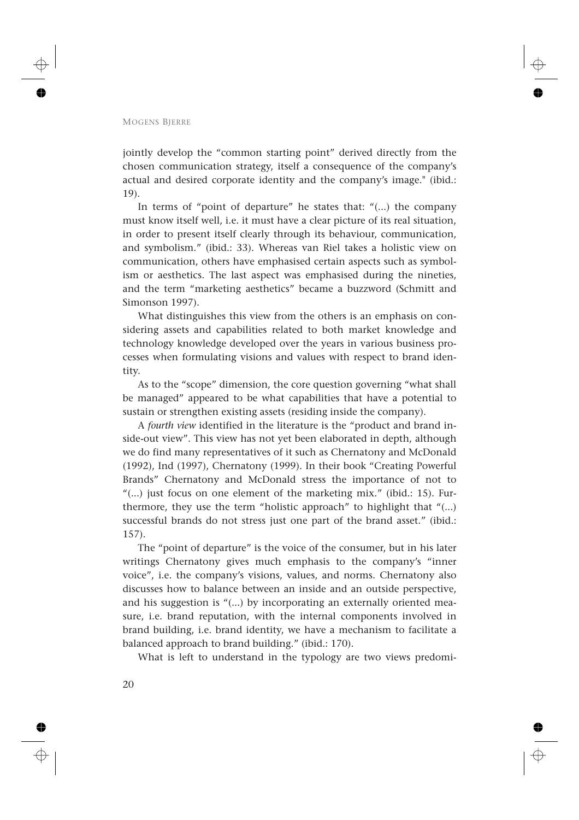jointly develop the "common starting point" derived directly from the chosen communication strategy, itself a consequence of the company's actual and desired corporate identity and the company's image." (ibid.: 19).

In terms of "point of departure" he states that: "(...) the company must know itself well, i.e. it must have a clear picture of its real situation, in order to present itself clearly through its behaviour, communication, and symbolism." (ibid.: 33). Whereas van Riel takes a holistic view on communication, others have emphasised certain aspects such as symbolism or aesthetics. The last aspect was emphasised during the nineties, and the term "marketing aesthetics" became a buzzword (Schmitt and Simonson 1997).

What distinguishes this view from the others is an emphasis on considering assets and capabilities related to both market knowledge and technology knowledge developed over the years in various business processes when formulating visions and values with respect to brand identity.

As to the "scope" dimension, the core question governing "what shall be managed" appeared to be what capabilities that have a potential to sustain or strengthen existing assets (residing inside the company).

A *fourth view* identified in the literature is the "product and brand inside-out view". This view has not yet been elaborated in depth, although we do find many representatives of it such as Chernatony and McDonald (1992), Ind (1997), Chernatony (1999). In their book "Creating Powerful Brands" Chernatony and McDonald stress the importance of not to "(...) just focus on one element of the marketing mix." (ibid.: 15). Furthermore, they use the term "holistic approach" to highlight that "(...) successful brands do not stress just one part of the brand asset." (ibid.: 157).

The "point of departure" is the voice of the consumer, but in his later writings Chernatony gives much emphasis to the company's "inner voice", i.e. the company's visions, values, and norms. Chernatony also discusses how to balance between an inside and an outside perspective, and his suggestion is "(...) by incorporating an externally oriented measure, i.e. brand reputation, with the internal components involved in brand building, i.e. brand identity, we have a mechanism to facilitate a balanced approach to brand building." (ibid.: 170).

What is left to understand in the typology are two views predomi-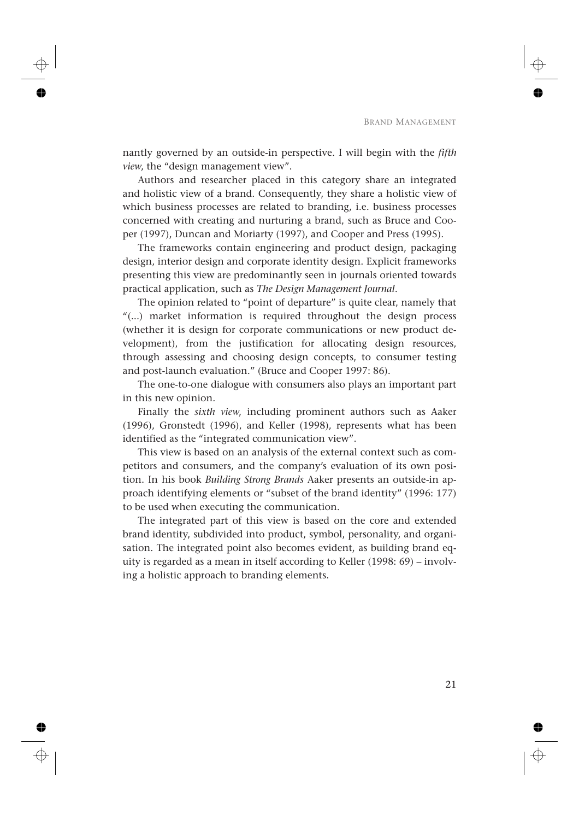nantly governed by an outside-in perspective. I will begin with the *fifth view*, the "design management view".

Authors and researcher placed in this category share an integrated and holistic view of a brand. Consequently, they share a holistic view of which business processes are related to branding, i.e. business processes concerned with creating and nurturing a brand, such as Bruce and Cooper (1997), Duncan and Moriarty (1997), and Cooper and Press (1995).

The frameworks contain engineering and product design, packaging design, interior design and corporate identity design. Explicit frameworks presenting this view are predominantly seen in journals oriented towards practical application, such as *The Design Management Journal*.

The opinion related to "point of departure" is quite clear, namely that "(...) market information is required throughout the design process (whether it is design for corporate communications or new product development), from the justification for allocating design resources, through assessing and choosing design concepts, to consumer testing and post-launch evaluation." (Bruce and Cooper 1997: 86).

The one-to-one dialogue with consumers also plays an important part in this new opinion.

Finally the *sixth view*, including prominent authors such as Aaker (1996), Gronstedt (1996), and Keller (1998), represents what has been identified as the "integrated communication view".

This view is based on an analysis of the external context such as competitors and consumers, and the company's evaluation of its own position. In his book *Building Strong Brands* Aaker presents an outside-in approach identifying elements or "subset of the brand identity" (1996: 177) to be used when executing the communication.

The integrated part of this view is based on the core and extended brand identity, subdivided into product, symbol, personality, and organisation. The integrated point also becomes evident, as building brand equity is regarded as a mean in itself according to Keller (1998: 69) – involving a holistic approach to branding elements.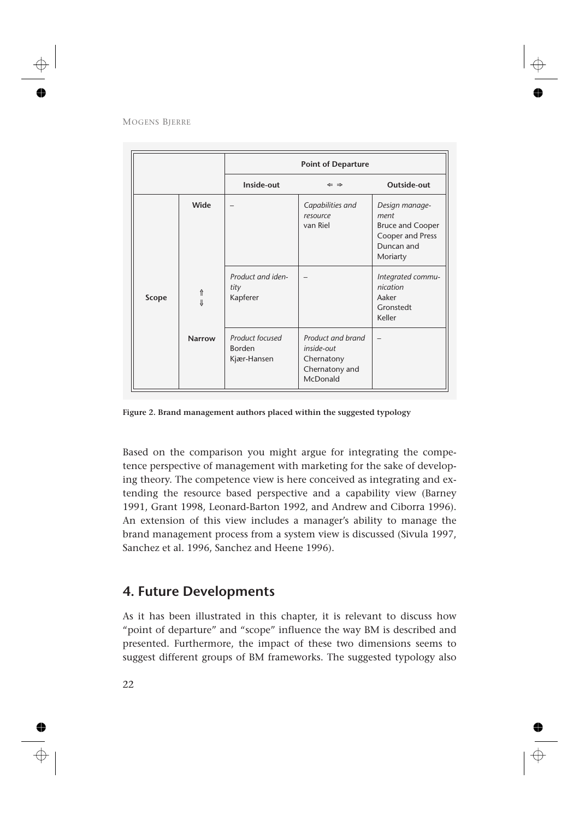|       |               | <b>Point of Departure</b>                       |                                                                             |                                                                                                        |
|-------|---------------|-------------------------------------------------|-----------------------------------------------------------------------------|--------------------------------------------------------------------------------------------------------|
|       |               | Inside-out                                      | $\Leftrightarrow$ $\Rightarrow$                                             | Outside-out                                                                                            |
|       | Wide          |                                                 | Capabilities and<br>resource<br>van Riel                                    | Design manage-<br>ment<br><b>Bruce and Cooper</b><br><b>Cooper and Press</b><br>Duncan and<br>Moriarty |
| Scope | ⇑<br>⇓        | Product and iden-<br>tity<br>Kapferer           |                                                                             | Integrated commu-<br>nication<br>Aaker<br>Gronstedt<br>Keller                                          |
|       | <b>Narrow</b> | Product focused<br><b>Borden</b><br>Kjær-Hansen | Product and brand<br>inside-out<br>Chernatony<br>Chernatony and<br>McDonald |                                                                                                        |

**Figure 2. Brand management authors placed within the suggested typology**

Based on the comparison you might argue for integrating the competence perspective of management with marketing for the sake of developing theory. The competence view is here conceived as integrating and extending the resource based perspective and a capability view (Barney 1991, Grant 1998, Leonard-Barton 1992, and Andrew and Ciborra 1996). An extension of this view includes a manager's ability to manage the brand management process from a system view is discussed (Sivula 1997, Sanchez et al. 1996, Sanchez and Heene 1996).

### **4. Future Developments**

As it has been illustrated in this chapter, it is relevant to discuss how "point of departure" and "scope" influence the way BM is described and presented. Furthermore, the impact of these two dimensions seems to suggest different groups of BM frameworks. The suggested typology also

⇔

 $\overline{\bigoplus}$ 

4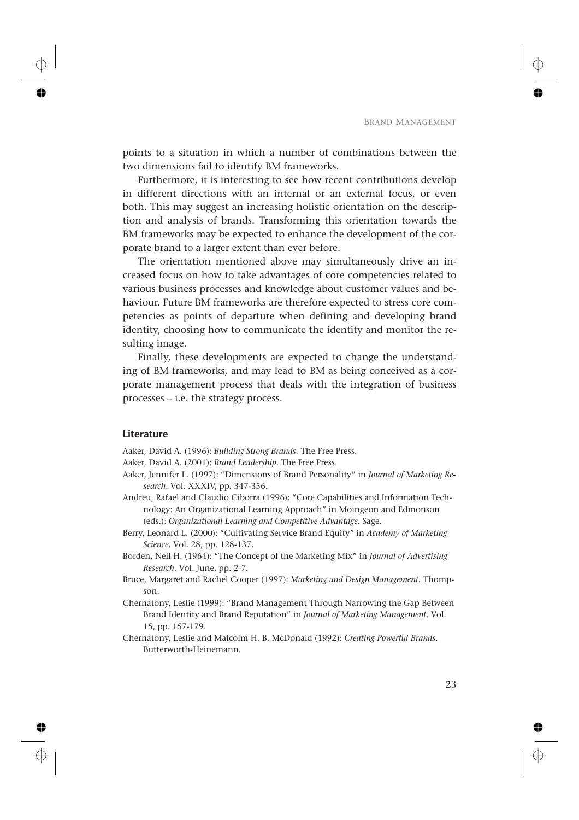points to a situation in which a number of combinations between the two dimensions fail to identify BM frameworks.

Furthermore, it is interesting to see how recent contributions develop in different directions with an internal or an external focus, or even both. This may suggest an increasing holistic orientation on the description and analysis of brands. Transforming this orientation towards the BM frameworks may be expected to enhance the development of the corporate brand to a larger extent than ever before.

The orientation mentioned above may simultaneously drive an increased focus on how to take advantages of core competencies related to various business processes and knowledge about customer values and behaviour. Future BM frameworks are therefore expected to stress core competencies as points of departure when defining and developing brand identity, choosing how to communicate the identity and monitor the resulting image.

Finally, these developments are expected to change the understanding of BM frameworks, and may lead to BM as being conceived as a corporate management process that deals with the integration of business processes – i.e. the strategy process.

#### **Literature**

Aaker, David A. (1996): *Building Strong Brands.* The Free Press.

Aaker, David A. (2001): *Brand Leadership.* The Free Press.

- Aaker, Jennifer L. (1997): "Dimensions of Brand Personality" in *Journal of Marketing Research*. Vol. XXXIV, pp. 347-356.
- Andreu, Rafael and Claudio Ciborra (1996): "Core Capabilities and Information Technology: An Organizational Learning Approach" in Moingeon and Edmonson (eds.): *Organizational Learning and Competitive Advantage.* Sage.
- Berry, Leonard L. (2000): "Cultivating Service Brand Equity" in *Academy of Marketing Science*. Vol. 28, pp. 128-137.
- Borden, Neil H. (1964): "The Concept of the Marketing Mix" in *Journal of Advertising Research*. Vol. June, pp. 2-7.
- Bruce, Margaret and Rachel Cooper (1997): *Marketing and Design Management*. Thompson.
- Chernatony, Leslie (1999): "Brand Management Through Narrowing the Gap Between Brand Identity and Brand Reputation" in *Journal of Marketing Management*. Vol. 15, pp. 157-179.
- Chernatony, Leslie and Malcolm H. B. McDonald (1992): *Creating Powerful Brands*. Butterworth-Heinemann.